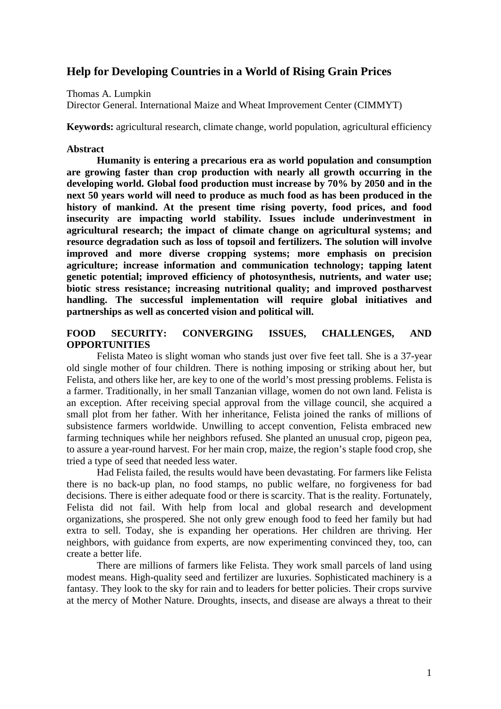# **Help for Developing Countries in a World of Rising Grain Prices**

Thomas A. Lumpkin

Director General. International Maize and Wheat Improvement Center (CIMMYT)

**Keywords:** agricultural research, climate change, world population, agricultural efficiency

## **Abstract**

**Humanity is entering a precarious era as world population and consumption are growing faster than crop production with nearly all growth occurring in the developing world. Global food production must increase by 70% by 2050 and in the next 50 years world will need to produce as much food as has been produced in the history of mankind. At the present time rising poverty, food prices, and food insecurity are impacting world stability. Issues include underinvestment in agricultural research; the impact of climate change on agricultural systems; and resource degradation such as loss of topsoil and fertilizers. The solution will involve improved and more diverse cropping systems; more emphasis on precision agriculture; increase information and communication technology; tapping latent genetic potential; improved efficiency of photosynthesis, nutrients, and water use; biotic stress resistance; increasing nutritional quality; and improved postharvest handling. The successful implementation will require global initiatives and partnerships as well as concerted vision and political will.**

# **FOOD SECURITY: CONVERGING ISSUES, CHALLENGES, AND OPPORTUNITIES**

Felista Mateo is slight woman who stands just over five feet tall. She is a 37-year old single mother of four children. There is nothing imposing or striking about her, but Felista, and others like her, are key to one of the world's most pressing problems. Felista is a farmer. Traditionally, in her small Tanzanian village, women do not own land. Felista is an exception. After receiving special approval from the village council, she acquired a small plot from her father. With her inheritance, Felista joined the ranks of millions of subsistence farmers worldwide. Unwilling to accept convention, Felista embraced new farming techniques while her neighbors refused. She planted an unusual crop, pigeon pea, to assure a year-round harvest. For her main crop, maize, the region's staple food crop, she tried a type of seed that needed less water.

Had Felista failed, the results would have been devastating. For farmers like Felista there is no back-up plan, no food stamps, no public welfare, no forgiveness for bad decisions. There is either adequate food or there is scarcity. That is the reality. Fortunately, Felista did not fail. With help from local and global research and development organizations, she prospered. She not only grew enough food to feed her family but had extra to sell. Today, she is expanding her operations. Her children are thriving. Her neighbors, with guidance from experts, are now experimenting convinced they, too, can create a better life.

There are millions of farmers like Felista. They work small parcels of land using modest means. High-quality seed and fertilizer are luxuries. Sophisticated machinery is a fantasy. They look to the sky for rain and to leaders for better policies. Their crops survive at the mercy of Mother Nature. Droughts, insects, and disease are always a threat to their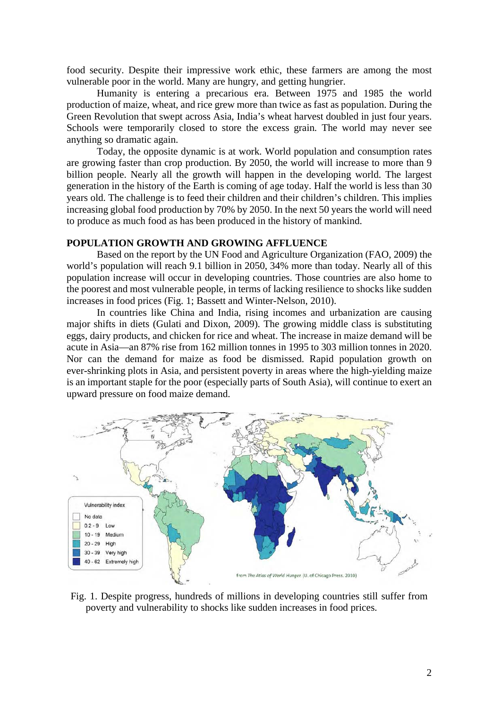food security. Despite their impressive work ethic, these farmers are among the most vulnerable poor in the world. Many are hungry, and getting hungrier.

Humanity is entering a precarious era. Between 1975 and 1985 the world production of maize, wheat, and rice grew more than twice as fast as population. During the Green Revolution that swept across Asia, India's wheat harvest doubled in just four years. Schools were temporarily closed to store the excess grain. The world may never see anything so dramatic again.

Today, the opposite dynamic is at work. World population and consumption rates are growing faster than crop production. By 2050, the world will increase to more than 9 billion people. Nearly all the growth will happen in the developing world. The largest generation in the history of the Earth is coming of age today. Half the world is less than 30 years old. The challenge is to feed their children and their children's children. This implies increasing global food production by 70% by 2050. In the next 50 years the world will need to produce as much food as has been produced in the history of mankind.

#### **POPULATION GROWTH AND GROWING AFFLUENCE**

Based on the report by the UN Food and Agriculture Organization (FAO, 2009) the world's population will reach 9.1 billion in 2050, 34% more than today. Nearly all of this population increase will occur in developing countries. Those countries are also home to the poorest and most vulnerable people, in terms of lacking resilience to shocks like sudden increases in food prices (Fig. 1; Bassett and Winter-Nelson, 2010).

In countries like China and India, rising incomes and urbanization are causing major shifts in diets (Gulati and Dixon, 2009). The growing middle class is substituting eggs, dairy products, and chicken for rice and wheat. The increase in maize demand will be acute in Asia—an 87% rise from 162 million tonnes in 1995 to 303 million tonnes in 2020. Nor can the demand for maize as food be dismissed. Rapid population growth on ever-shrinking plots in Asia, and persistent poverty in areas where the high-yielding maize is an important staple for the poor (especially parts of South Asia), will continue to exert an upward pressure on food maize demand.



Fig. 1. Despite progress, hundreds of millions in developing countries still suffer from poverty and vulnerability to shocks like sudden increases in food prices.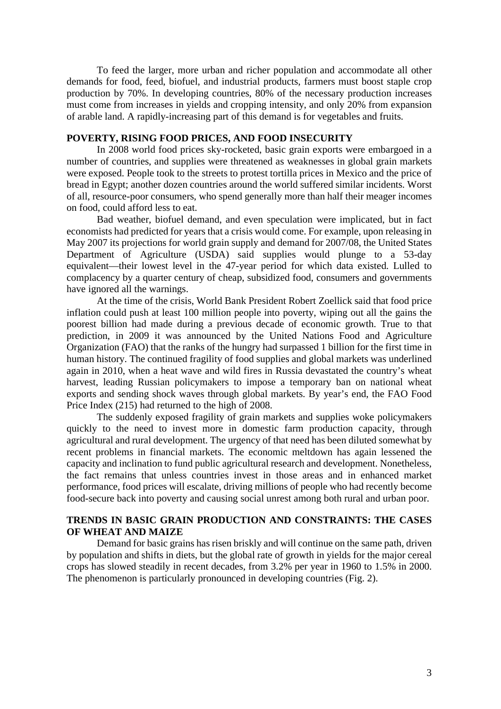To feed the larger, more urban and richer population and accommodate all other demands for food, feed, biofuel, and industrial products, farmers must boost staple crop production by 70%. In developing countries, 80% of the necessary production increases must come from increases in yields and cropping intensity, and only 20% from expansion of arable land. A rapidly-increasing part of this demand is for vegetables and fruits.

# **POVERTY, RISING FOOD PRICES, AND FOOD INSECURITY**

In 2008 world food prices sky-rocketed, basic grain exports were embargoed in a number of countries, and supplies were threatened as weaknesses in global grain markets were exposed. People took to the streets to protest tortilla prices in Mexico and the price of bread in Egypt; another dozen countries around the world suffered similar incidents. Worst of all, resource-poor consumers, who spend generally more than half their meager incomes on food, could afford less to eat.

Bad weather, biofuel demand, and even speculation were implicated, but in fact economists had predicted for years that a crisis would come. For example, upon releasing in May 2007 its projections for world grain supply and demand for 2007/08, the United States Department of Agriculture (USDA) said supplies would plunge to a 53-day equivalent—their lowest level in the 47-year period for which data existed. Lulled to complacency by a quarter century of cheap, subsidized food, consumers and governments have ignored all the warnings.

At the time of the crisis, World Bank President Robert Zoellick said that food price inflation could push at least 100 million people into poverty, wiping out all the gains the poorest billion had made during a previous decade of economic growth. True to that prediction, in 2009 it was announced by the United Nations Food and Agriculture Organization (FAO) that the ranks of the hungry had surpassed 1 billion for the first time in human history. The continued fragility of food supplies and global markets was underlined again in 2010, when a heat wave and wild fires in Russia devastated the country's wheat harvest, leading Russian policymakers to impose a temporary ban on national wheat exports and sending shock waves through global markets. By year's end, the FAO Food Price Index (215) had returned to the high of 2008.

The suddenly exposed fragility of grain markets and supplies woke policymakers quickly to the need to invest more in domestic farm production capacity, through agricultural and rural development. The urgency of that need has been diluted somewhat by recent problems in financial markets. The economic meltdown has again lessened the capacity and inclination to fund public agricultural research and development. Nonetheless, the fact remains that unless countries invest in those areas and in enhanced market performance, food prices will escalate, driving millions of people who had recently become food-secure back into poverty and causing social unrest among both rural and urban poor.

# **TRENDS IN BASIC GRAIN PRODUCTION AND CONSTRAINTS: THE CASES OF WHEAT AND MAIZE**

Demand for basic grains has risen briskly and will continue on the same path, driven by population and shifts in diets, but the global rate of growth in yields for the major cereal crops has slowed steadily in recent decades, from 3.2% per year in 1960 to 1.5% in 2000. The phenomenon is particularly pronounced in developing countries (Fig. 2).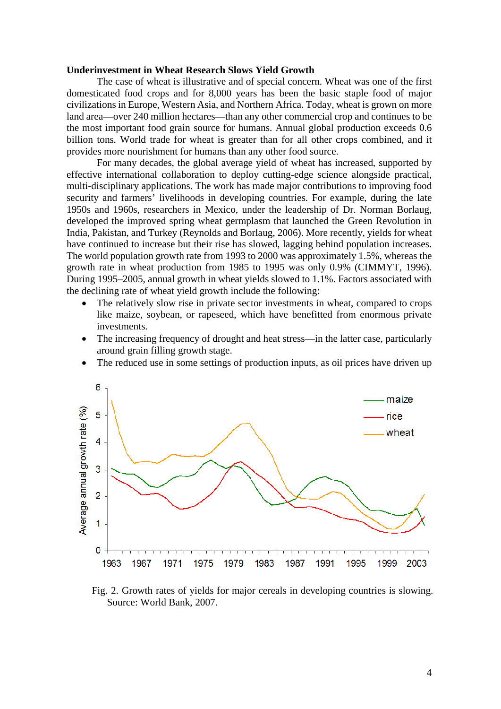### **Underinvestment in Wheat Research Slows Yield Growth**

The case of wheat is illustrative and of special concern. Wheat was one of the first domesticated food crops and for 8,000 years has been the basic staple food of major civilizations in Europe, Western Asia, and Northern Africa. Today, wheat is grown on more land area—over 240 million hectares—than any other commercial crop and continues to be the most important food grain source for humans. Annual global production exceeds 0.6 billion tons. World trade for wheat is greater than for all other crops combined, and it provides more nourishment for humans than any other food source.

For many decades, the global average yield of wheat has increased, supported by effective international collaboration to deploy cutting-edge science alongside practical, multi-disciplinary applications. The work has made major contributions to improving food security and farmers' livelihoods in developing countries. For example, during the late 1950s and 1960s, researchers in Mexico, under the leadership of Dr. Norman Borlaug, developed the improved spring wheat germplasm that launched the Green Revolution in India, Pakistan, and Turkey (Reynolds and Borlaug, 2006). More recently, yields for wheat have continued to increase but their rise has slowed, lagging behind population increases. The world population growth rate from 1993 to 2000 was approximately 1.5%, whereas the growth rate in wheat production from 1985 to 1995 was only 0.9% (CIMMYT, 1996). During 1995–2005, annual growth in wheat yields slowed to 1.1%. Factors associated with the declining rate of wheat yield growth include the following:

- The relatively slow rise in private sector investments in wheat, compared to crops like maize, soybean, or rapeseed, which have benefitted from enormous private investments.
- The increasing frequency of drought and heat stress—in the latter case, particularly around grain filling growth stage.
- The reduced use in some settings of production inputs, as oil prices have driven up



Fig. 2. Growth rates of yields for major cereals in developing countries is slowing. Source: World Bank, 2007.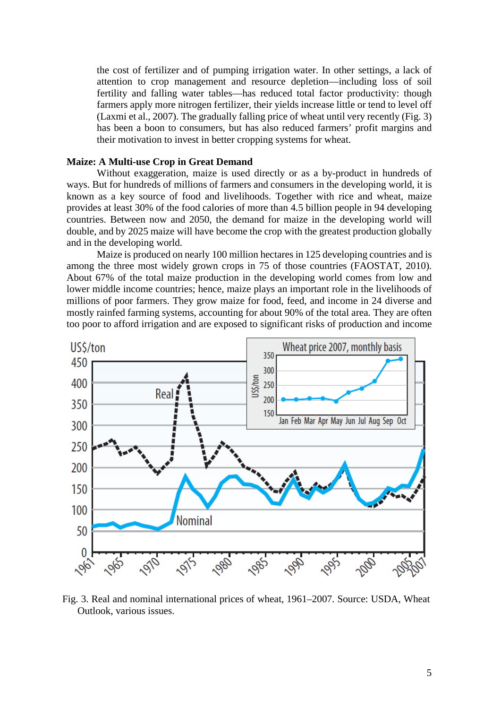the cost of fertilizer and of pumping irrigation water. In other settings, a lack of attention to crop management and resource depletion—including loss of soil fertility and falling water tables—has reduced total factor productivity: though farmers apply more nitrogen fertilizer, their yields increase little or tend to level off (Laxmi et al., 2007). The gradually falling price of wheat until very recently (Fig. 3) has been a boon to consumers, but has also reduced farmers' profit margins and their motivation to invest in better cropping systems for wheat.

## **Maize: A Multi-use Crop in Great Demand**

Without exaggeration, maize is used directly or as a by-product in hundreds of ways. But for hundreds of millions of farmers and consumers in the developing world, it is known as a key source of food and livelihoods. Together with rice and wheat, maize provides at least 30% of the food calories of more than 4.5 billion people in 94 developing countries. Between now and 2050, the demand for maize in the developing world will double, and by 2025 maize will have become the crop with the greatest production globally and in the developing world.

Maize is produced on nearly 100 million hectares in 125 developing countries and is among the three most widely grown crops in 75 of those countries (FAOSTAT, 2010). About 67% of the total maize production in the developing world comes from low and lower middle income countries; hence, maize plays an important role in the livelihoods of millions of poor farmers. They grow maize for food, feed, and income in 24 diverse and mostly rainfed farming systems, accounting for about 90% of the total area. They are often too poor to afford irrigation and are exposed to significant risks of production and income



Fig. 3. Real and nominal international prices of wheat, 1961–2007. Source: USDA, Wheat Outlook, various issues.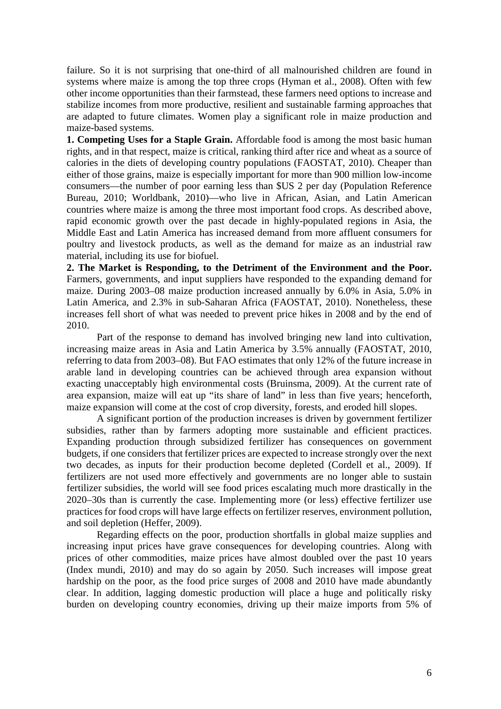failure. So it is not surprising that one-third of all malnourished children are found in systems where maize is among the top three crops (Hyman et al., 2008). Often with few other income opportunities than their farmstead, these farmers need options to increase and stabilize incomes from more productive, resilient and sustainable farming approaches that are adapted to future climates. Women play a significant role in maize production and maize-based systems.

**1. Competing Uses for a Staple Grain.** Affordable food is among the most basic human rights, and in that respect, maize is critical, ranking third after rice and wheat as a source of calories in the diets of developing country populations (FAOSTAT, 2010). Cheaper than either of those grains, maize is especially important for more than 900 million low-income consumers—the number of poor earning less than \$US 2 per day (Population Reference Bureau, 2010; Worldbank, 2010)—who live in African, Asian, and Latin American countries where maize is among the three most important food crops. As described above, rapid economic growth over the past decade in highly-populated regions in Asia, the Middle East and Latin America has increased demand from more affluent consumers for poultry and livestock products, as well as the demand for maize as an industrial raw material, including its use for biofuel.

**2. The Market is Responding, to the Detriment of the Environment and the Poor.**  Farmers, governments, and input suppliers have responded to the expanding demand for maize. During 2003–08 maize production increased annually by 6.0% in Asia, 5.0% in Latin America, and 2.3% in sub-Saharan Africa (FAOSTAT, 2010). Nonetheless, these increases fell short of what was needed to prevent price hikes in 2008 and by the end of 2010.

Part of the response to demand has involved bringing new land into cultivation, increasing maize areas in Asia and Latin America by 3.5% annually (FAOSTAT, 2010, referring to data from 2003–08). But FAO estimates that only 12% of the future increase in arable land in developing countries can be achieved through area expansion without exacting unacceptably high environmental costs (Bruinsma, 2009). At the current rate of area expansion, maize will eat up "its share of land" in less than five years; henceforth, maize expansion will come at the cost of crop diversity, forests, and eroded hill slopes.

A significant portion of the production increases is driven by government fertilizer subsidies, rather than by farmers adopting more sustainable and efficient practices. Expanding production through subsidized fertilizer has consequences on government budgets, if one considers that fertilizer prices are expected to increase strongly over the next two decades, as inputs for their production become depleted (Cordell et al., 2009). If fertilizers are not used more effectively and governments are no longer able to sustain fertilizer subsidies, the world will see food prices escalating much more drastically in the 2020–30s than is currently the case. Implementing more (or less) effective fertilizer use practices for food crops will have large effects on fertilizer reserves, environment pollution, and soil depletion (Heffer, 2009).

Regarding effects on the poor, production shortfalls in global maize supplies and increasing input prices have grave consequences for developing countries. Along with prices of other commodities, maize prices have almost doubled over the past 10 years (Index mundi, 2010) and may do so again by 2050. Such increases will impose great hardship on the poor, as the food price surges of 2008 and 2010 have made abundantly clear. In addition, lagging domestic production will place a huge and politically risky burden on developing country economies, driving up their maize imports from 5% of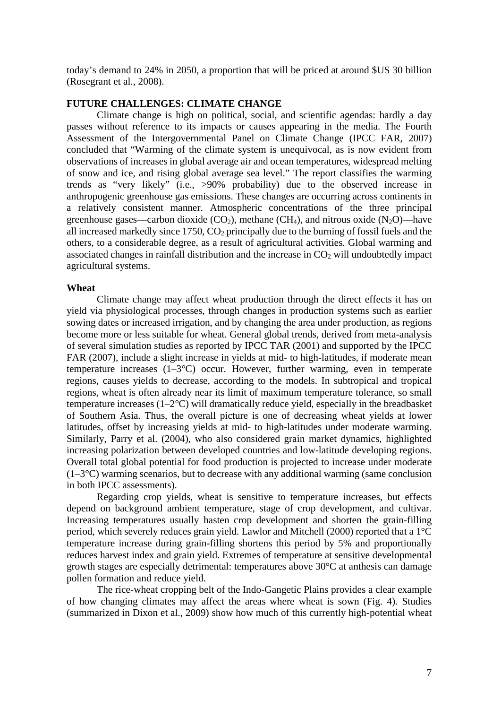today's demand to 24% in 2050, a proportion that will be priced at around \$US 30 billion (Rosegrant et al., 2008).

# **FUTURE CHALLENGES: CLIMATE CHANGE**

Climate change is high on political, social, and scientific agendas: hardly a day passes without reference to its impacts or causes appearing in the media. The Fourth Assessment of the Intergovernmental Panel on Climate Change (IPCC FAR, 2007) concluded that "Warming of the climate system is unequivocal, as is now evident from observations of increases in global average air and ocean temperatures, widespread melting of snow and ice, and rising global average sea level." The report classifies the warming trends as "very likely" (i.e., >90% probability) due to the observed increase in anthropogenic greenhouse gas emissions. These changes are occurring across continents in a relatively consistent manner. Atmospheric concentrations of the three principal greenhouse gases—carbon dioxide  $(CO_2)$ , methane  $(CH_4)$ , and nitrous oxide  $(N_2O)$ —have all increased markedly since  $1750$ ,  $CO<sub>2</sub>$  principally due to the burning of fossil fuels and the others, to a considerable degree, as a result of agricultural activities. Global warming and associated changes in rainfall distribution and the increase in  $CO<sub>2</sub>$  will undoubtedly impact agricultural systems.

#### **Wheat**

Climate change may affect wheat production through the direct effects it has on yield via physiological processes, through changes in production systems such as earlier sowing dates or increased irrigation, and by changing the area under production, as regions become more or less suitable for wheat. General global trends, derived from meta-analysis of several simulation studies as reported by IPCC TAR (2001) and supported by the IPCC FAR (2007), include a slight increase in yields at mid- to high-latitudes, if moderate mean temperature increases (1–3°C) occur. However, further warming, even in temperate regions, causes yields to decrease, according to the models. In subtropical and tropical regions, wheat is often already near its limit of maximum temperature tolerance, so small temperature increases (1–2°C) will dramatically reduce yield, especially in the breadbasket of Southern Asia. Thus, the overall picture is one of decreasing wheat yields at lower latitudes, offset by increasing yields at mid- to high-latitudes under moderate warming. Similarly, Parry et al. (2004), who also considered grain market dynamics, highlighted increasing polarization between developed countries and low-latitude developing regions. Overall total global potential for food production is projected to increase under moderate  $(1-3°C)$  warming scenarios, but to decrease with any additional warming (same conclusion in both IPCC assessments).

Regarding crop yields, wheat is sensitive to temperature increases, but effects depend on background ambient temperature, stage of crop development, and cultivar. Increasing temperatures usually hasten crop development and shorten the grain-filling period, which severely reduces grain yield. Lawlor and Mitchell (2000) reported that a 1°C temperature increase during grain-filling shortens this period by 5% and proportionally reduces harvest index and grain yield. Extremes of temperature at sensitive developmental growth stages are especially detrimental: temperatures above 30°C at anthesis can damage pollen formation and reduce yield.

The rice-wheat cropping belt of the Indo-Gangetic Plains provides a clear example of how changing climates may affect the areas where wheat is sown (Fig. 4). Studies (summarized in Dixon et al., 2009) show how much of this currently high-potential wheat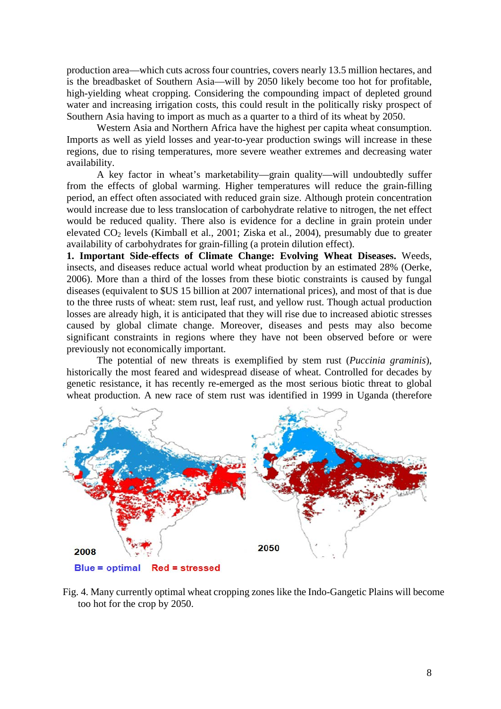production area—which cuts across four countries, covers nearly 13.5 million hectares, and is the breadbasket of Southern Asia—will by 2050 likely become too hot for profitable, high-yielding wheat cropping. Considering the compounding impact of depleted ground water and increasing irrigation costs, this could result in the politically risky prospect of Southern Asia having to import as much as a quarter to a third of its wheat by 2050.

Western Asia and Northern Africa have the highest per capita wheat consumption. Imports as well as yield losses and year-to-year production swings will increase in these regions, due to rising temperatures, more severe weather extremes and decreasing water availability.

A key factor in wheat's marketability—grain quality—will undoubtedly suffer from the effects of global warming. Higher temperatures will reduce the grain-filling period, an effect often associated with reduced grain size. Although protein concentration would increase due to less translocation of carbohydrate relative to nitrogen, the net effect would be reduced quality. There also is evidence for a decline in grain protein under elevated CO<sub>2</sub> levels (Kimball et al., 2001; Ziska et al., 2004), presumably due to greater availability of carbohydrates for grain-filling (a protein dilution effect).

**1. Important Side-effects of Climate Change: Evolving Wheat Diseases.** Weeds, insects, and diseases reduce actual world wheat production by an estimated 28% (Oerke, 2006). More than a third of the losses from these biotic constraints is caused by fungal diseases (equivalent to \$US 15 billion at 2007 international prices), and most of that is due to the three rusts of wheat: stem rust, leaf rust, and yellow rust. Though actual production losses are already high, it is anticipated that they will rise due to increased abiotic stresses caused by global climate change. Moreover, diseases and pests may also become significant constraints in regions where they have not been observed before or were previously not economically important.

The potential of new threats is exemplified by stem rust (*Puccinia graminis*), historically the most feared and widespread disease of wheat. Controlled for decades by genetic resistance, it has recently re-emerged as the most serious biotic threat to global wheat production. A new race of stem rust was identified in 1999 in Uganda (therefore



Fig. 4. Many currently optimal wheat cropping zones like the Indo-Gangetic Plains will become too hot for the crop by 2050.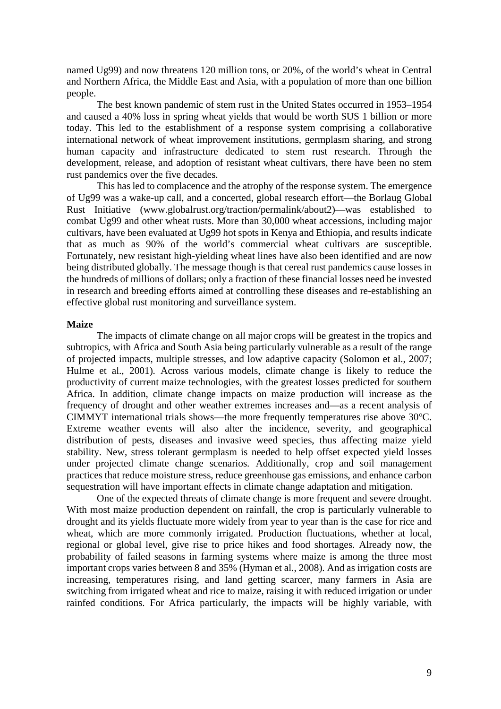named Ug99) and now threatens 120 million tons, or 20%, of the world's wheat in Central and Northern Africa, the Middle East and Asia, with a population of more than one billion people.

The best known pandemic of stem rust in the United States occurred in 1953–1954 and caused a 40% loss in spring wheat yields that would be worth \$US 1 billion or more today. This led to the establishment of a response system comprising a collaborative international network of wheat improvement institutions, germplasm sharing, and strong human capacity and infrastructure dedicated to stem rust research. Through the development, release, and adoption of resistant wheat cultivars, there have been no stem rust pandemics over the five decades.

This has led to complacence and the atrophy of the response system. The emergence of Ug99 was a wake-up call, and a concerted, global research effort—the Borlaug Global Rust Initiative (www.globalrust.org/traction/permalink/about2)—was established to combat Ug99 and other wheat rusts. More than 30,000 wheat accessions, including major cultivars, have been evaluated at Ug99 hot spots in Kenya and Ethiopia, and results indicate that as much as 90% of the world's commercial wheat cultivars are susceptible. Fortunately, new resistant high-yielding wheat lines have also been identified and are now being distributed globally. The message though is that cereal rust pandemics cause losses in the hundreds of millions of dollars; only a fraction of these financial losses need be invested in research and breeding efforts aimed at controlling these diseases and re-establishing an effective global rust monitoring and surveillance system.

## **Maize**

The impacts of climate change on all major crops will be greatest in the tropics and subtropics, with Africa and South Asia being particularly vulnerable as a result of the range of projected impacts, multiple stresses, and low adaptive capacity (Solomon et al., 2007; Hulme et al., 2001). Across various models, climate change is likely to reduce the productivity of current maize technologies, with the greatest losses predicted for southern Africa. In addition, climate change impacts on maize production will increase as the frequency of drought and other weather extremes increases and—as a recent analysis of CIMMYT international trials shows—the more frequently temperatures rise above 30°C. Extreme weather events will also alter the incidence, severity, and geographical distribution of pests, diseases and invasive weed species, thus affecting maize yield stability. New, stress tolerant germplasm is needed to help offset expected yield losses under projected climate change scenarios. Additionally, crop and soil management practices that reduce moisture stress, reduce greenhouse gas emissions, and enhance carbon sequestration will have important effects in climate change adaptation and mitigation.

One of the expected threats of climate change is more frequent and severe drought. With most maize production dependent on rainfall, the crop is particularly vulnerable to drought and its yields fluctuate more widely from year to year than is the case for rice and wheat, which are more commonly irrigated. Production fluctuations, whether at local, regional or global level, give rise to price hikes and food shortages. Already now, the probability of failed seasons in farming systems where maize is among the three most important crops varies between 8 and 35% (Hyman et al., 2008). And as irrigation costs are increasing, temperatures rising, and land getting scarcer, many farmers in Asia are switching from irrigated wheat and rice to maize, raising it with reduced irrigation or under rainfed conditions. For Africa particularly, the impacts will be highly variable, with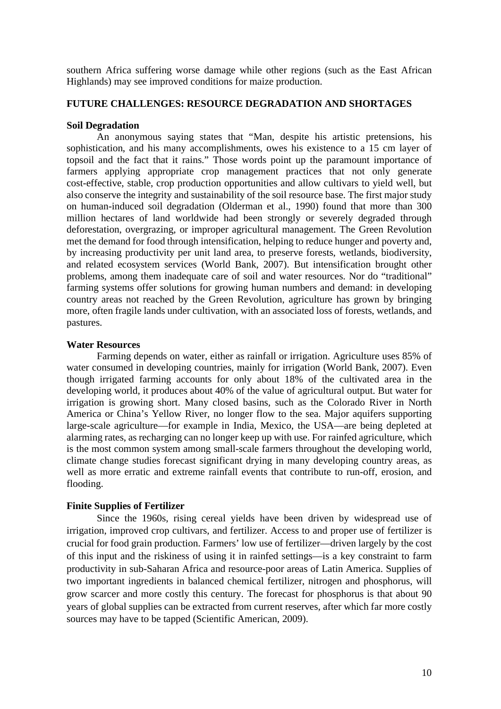southern Africa suffering worse damage while other regions (such as the East African Highlands) may see improved conditions for maize production.

## **FUTURE CHALLENGES: RESOURCE DEGRADATION AND SHORTAGES**

#### **Soil Degradation**

An anonymous saying states that "Man, despite his artistic pretensions, his sophistication, and his many accomplishments, owes his existence to a 15 cm layer of topsoil and the fact that it rains." Those words point up the paramount importance of farmers applying appropriate crop management practices that not only generate cost-effective, stable, crop production opportunities and allow cultivars to yield well, but also conserve the integrity and sustainability of the soil resource base. The first major study on human-induced soil degradation (Olderman et al., 1990) found that more than 300 million hectares of land worldwide had been strongly or severely degraded through deforestation, overgrazing, or improper agricultural management. The Green Revolution met the demand for food through intensification, helping to reduce hunger and poverty and, by increasing productivity per unit land area, to preserve forests, wetlands, biodiversity, and related ecosystem services (World Bank, 2007). But intensification brought other problems, among them inadequate care of soil and water resources. Nor do "traditional" farming systems offer solutions for growing human numbers and demand: in developing country areas not reached by the Green Revolution, agriculture has grown by bringing more, often fragile lands under cultivation, with an associated loss of forests, wetlands, and pastures.

#### **Water Resources**

Farming depends on water, either as rainfall or irrigation. Agriculture uses 85% of water consumed in developing countries, mainly for irrigation (World Bank, 2007). Even though irrigated farming accounts for only about 18% of the cultivated area in the developing world, it produces about 40% of the value of agricultural output. But water for irrigation is growing short. Many closed basins, such as the Colorado River in North America or China's Yellow River, no longer flow to the sea. Major aquifers supporting large-scale agriculture—for example in India, Mexico, the USA—are being depleted at alarming rates, as recharging can no longer keep up with use. For rainfed agriculture, which is the most common system among small-scale farmers throughout the developing world, climate change studies forecast significant drying in many developing country areas, as well as more erratic and extreme rainfall events that contribute to run-off, erosion, and flooding.

#### **Finite Supplies of Fertilizer**

Since the 1960s, rising cereal yields have been driven by widespread use of irrigation, improved crop cultivars, and fertilizer. Access to and proper use of fertilizer is crucial for food grain production. Farmers' low use of fertilizer—driven largely by the cost of this input and the riskiness of using it in rainfed settings—is a key constraint to farm productivity in sub-Saharan Africa and resource-poor areas of Latin America. Supplies of two important ingredients in balanced chemical fertilizer, nitrogen and phosphorus, will grow scarcer and more costly this century. The forecast for phosphorus is that about 90 years of global supplies can be extracted from current reserves, after which far more costly sources may have to be tapped (Scientific American, 2009).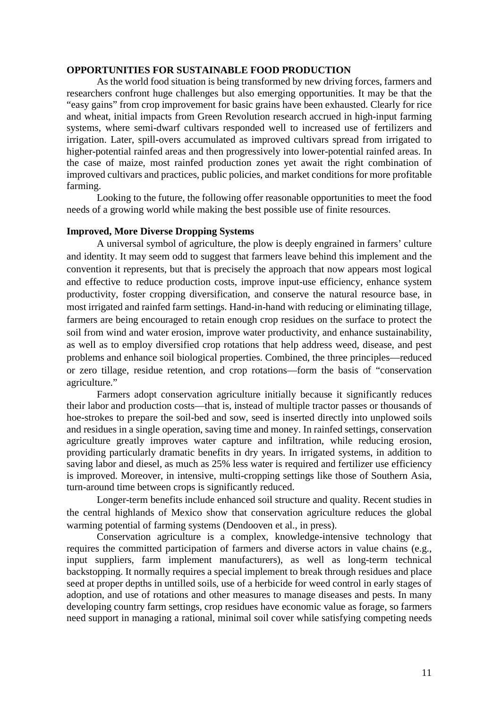## **OPPORTUNITIES FOR SUSTAINABLE FOOD PRODUCTION**

As the world food situation is being transformed by new driving forces, farmers and researchers confront huge challenges but also emerging opportunities. It may be that the "easy gains" from crop improvement for basic grains have been exhausted. Clearly for rice and wheat, initial impacts from Green Revolution research accrued in high-input farming systems, where semi-dwarf cultivars responded well to increased use of fertilizers and irrigation. Later, spill-overs accumulated as improved cultivars spread from irrigated to higher-potential rainfed areas and then progressively into lower-potential rainfed areas. In the case of maize, most rainfed production zones yet await the right combination of improved cultivars and practices, public policies, and market conditions for more profitable farming.

Looking to the future, the following offer reasonable opportunities to meet the food needs of a growing world while making the best possible use of finite resources.

#### **Improved, More Diverse Dropping Systems**

A universal symbol of agriculture, the plow is deeply engrained in farmers' culture and identity. It may seem odd to suggest that farmers leave behind this implement and the convention it represents, but that is precisely the approach that now appears most logical and effective to reduce production costs, improve input-use efficiency, enhance system productivity, foster cropping diversification, and conserve the natural resource base, in most irrigated and rainfed farm settings. Hand-in-hand with reducing or eliminating tillage, farmers are being encouraged to retain enough crop residues on the surface to protect the soil from wind and water erosion, improve water productivity, and enhance sustainability, as well as to employ diversified crop rotations that help address weed, disease, and pest problems and enhance soil biological properties. Combined, the three principles—reduced or zero tillage, residue retention, and crop rotations—form the basis of "conservation agriculture."

Farmers adopt conservation agriculture initially because it significantly reduces their labor and production costs—that is, instead of multiple tractor passes or thousands of hoe-strokes to prepare the soil-bed and sow, seed is inserted directly into unplowed soils and residues in a single operation, saving time and money. In rainfed settings, conservation agriculture greatly improves water capture and infiltration, while reducing erosion, providing particularly dramatic benefits in dry years. In irrigated systems, in addition to saving labor and diesel, as much as 25% less water is required and fertilizer use efficiency is improved. Moreover, in intensive, multi-cropping settings like those of Southern Asia, turn-around time between crops is significantly reduced.

Longer-term benefits include enhanced soil structure and quality. Recent studies in the central highlands of Mexico show that conservation agriculture reduces the global warming potential of farming systems (Dendooven et al., in press).

Conservation agriculture is a complex, knowledge-intensive technology that requires the committed participation of farmers and diverse actors in value chains (e.g., input suppliers, farm implement manufacturers), as well as long-term technical backstopping. It normally requires a special implement to break through residues and place seed at proper depths in untilled soils, use of a herbicide for weed control in early stages of adoption, and use of rotations and other measures to manage diseases and pests. In many developing country farm settings, crop residues have economic value as forage, so farmers need support in managing a rational, minimal soil cover while satisfying competing needs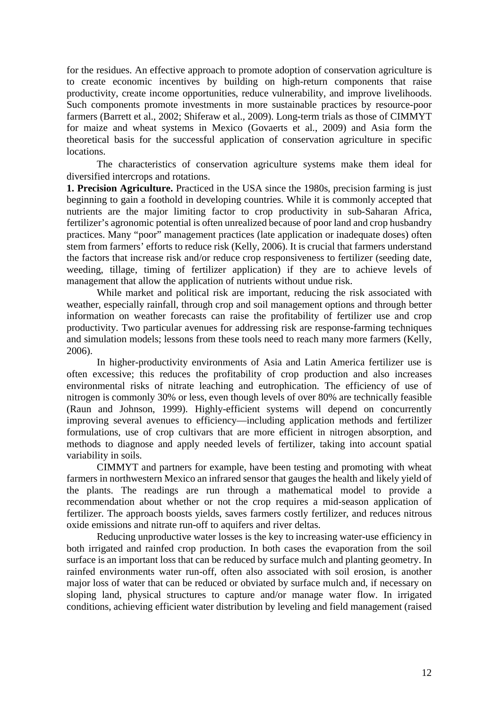for the residues. An effective approach to promote adoption of conservation agriculture is to create economic incentives by building on high-return components that raise productivity, create income opportunities, reduce vulnerability, and improve livelihoods. Such components promote investments in more sustainable practices by resource-poor farmers (Barrett et al., 2002; Shiferaw et al., 2009). Long-term trials as those of CIMMYT for maize and wheat systems in Mexico (Govaerts et al., 2009) and Asia form the theoretical basis for the successful application of conservation agriculture in specific locations.

The characteristics of conservation agriculture systems make them ideal for diversified intercrops and rotations.

**1. Precision Agriculture.** Practiced in the USA since the 1980s, precision farming is just beginning to gain a foothold in developing countries. While it is commonly accepted that nutrients are the major limiting factor to crop productivity in sub-Saharan Africa, fertilizer's agronomic potential is often unrealized because of poor land and crop husbandry practices. Many "poor" management practices (late application or inadequate doses) often stem from farmers' efforts to reduce risk (Kelly, 2006). It is crucial that farmers understand the factors that increase risk and/or reduce crop responsiveness to fertilizer (seeding date, weeding, tillage, timing of fertilizer application) if they are to achieve levels of management that allow the application of nutrients without undue risk.

While market and political risk are important, reducing the risk associated with weather, especially rainfall, through crop and soil management options and through better information on weather forecasts can raise the profitability of fertilizer use and crop productivity. Two particular avenues for addressing risk are response-farming techniques and simulation models; lessons from these tools need to reach many more farmers (Kelly, 2006).

In higher-productivity environments of Asia and Latin America fertilizer use is often excessive; this reduces the profitability of crop production and also increases environmental risks of nitrate leaching and eutrophication. The efficiency of use of nitrogen is commonly 30% or less, even though levels of over 80% are technically feasible (Raun and Johnson, 1999). Highly-efficient systems will depend on concurrently improving several avenues to efficiency—including application methods and fertilizer formulations, use of crop cultivars that are more efficient in nitrogen absorption, and methods to diagnose and apply needed levels of fertilizer, taking into account spatial variability in soils.

CIMMYT and partners for example, have been testing and promoting with wheat farmers in northwestern Mexico an infrared sensor that gauges the health and likely yield of the plants. The readings are run through a mathematical model to provide a recommendation about whether or not the crop requires a mid-season application of fertilizer. The approach boosts yields, saves farmers costly fertilizer, and reduces nitrous oxide emissions and nitrate run-off to aquifers and river deltas.

Reducing unproductive water losses is the key to increasing water-use efficiency in both irrigated and rainfed crop production. In both cases the evaporation from the soil surface is an important loss that can be reduced by surface mulch and planting geometry. In rainfed environments water run-off, often also associated with soil erosion, is another major loss of water that can be reduced or obviated by surface mulch and, if necessary on sloping land, physical structures to capture and/or manage water flow. In irrigated conditions, achieving efficient water distribution by leveling and field management (raised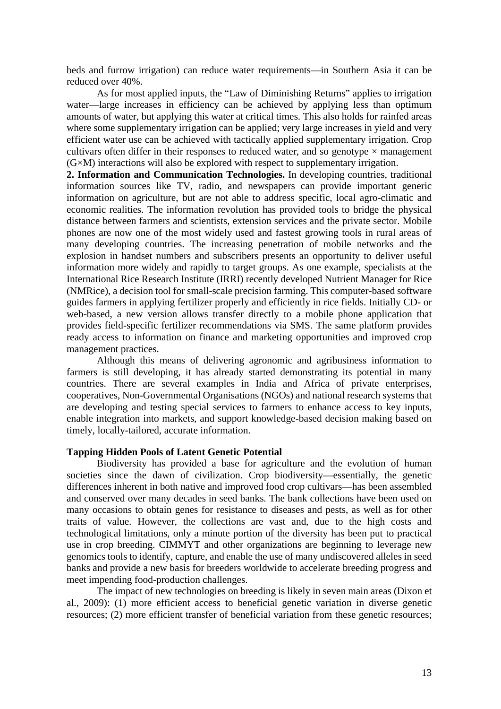beds and furrow irrigation) can reduce water requirements—in Southern Asia it can be reduced over 40%.

As for most applied inputs, the "Law of Diminishing Returns" applies to irrigation water—large increases in efficiency can be achieved by applying less than optimum amounts of water, but applying this water at critical times. This also holds for rainfed areas where some supplementary irrigation can be applied; very large increases in yield and very efficient water use can be achieved with tactically applied supplementary irrigation. Crop cultivars often differ in their responses to reduced water, and so genotype  $\times$  management (G×M) interactions will also be explored with respect to supplementary irrigation.

**2. Information and Communication Technologies.** In developing countries, traditional information sources like TV, radio, and newspapers can provide important generic information on agriculture, but are not able to address specific, local agro-climatic and economic realities. The information revolution has provided tools to bridge the physical distance between farmers and scientists, extension services and the private sector. Mobile phones are now one of the most widely used and fastest growing tools in rural areas of many developing countries. The increasing penetration of mobile networks and the explosion in handset numbers and subscribers presents an opportunity to deliver useful information more widely and rapidly to target groups. As one example, specialists at the International Rice Research Institute (IRRI) recently developed Nutrient Manager for Rice (NMRice), a decision tool for small-scale precision farming. This computer-based software guides farmers in applying fertilizer properly and efficiently in rice fields. Initially CD- or web-based, a new version allows transfer directly to a mobile phone application that provides field-specific fertilizer recommendations via SMS. The same platform provides ready access to information on finance and marketing opportunities and improved crop management practices.

Although this means of delivering agronomic and agribusiness information to farmers is still developing, it has already started demonstrating its potential in many countries. There are several examples in India and Africa of private enterprises, cooperatives, Non-Governmental Organisations (NGOs) and national research systems that are developing and testing special services to farmers to enhance access to key inputs, enable integration into markets, and support knowledge-based decision making based on timely, locally-tailored, accurate information.

# **Tapping Hidden Pools of Latent Genetic Potential**

Biodiversity has provided a base for agriculture and the evolution of human societies since the dawn of civilization. Crop biodiversity—essentially, the genetic differences inherent in both native and improved food crop cultivars—has been assembled and conserved over many decades in seed banks. The bank collections have been used on many occasions to obtain genes for resistance to diseases and pests, as well as for other traits of value. However, the collections are vast and, due to the high costs and technological limitations, only a minute portion of the diversity has been put to practical use in crop breeding. CIMMYT and other organizations are beginning to leverage new genomics tools to identify, capture, and enable the use of many undiscovered alleles in seed banks and provide a new basis for breeders worldwide to accelerate breeding progress and meet impending food-production challenges.

The impact of new technologies on breeding is likely in seven main areas (Dixon et al., 2009): (1) more efficient access to beneficial genetic variation in diverse genetic resources; (2) more efficient transfer of beneficial variation from these genetic resources;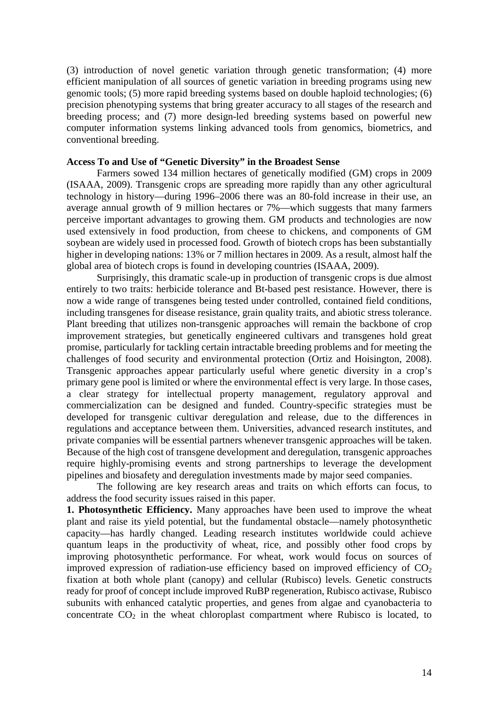(3) introduction of novel genetic variation through genetic transformation; (4) more efficient manipulation of all sources of genetic variation in breeding programs using new genomic tools; (5) more rapid breeding systems based on double haploid technologies; (6) precision phenotyping systems that bring greater accuracy to all stages of the research and breeding process; and (7) more design-led breeding systems based on powerful new computer information systems linking advanced tools from genomics, biometrics, and conventional breeding.

#### **Access To and Use of "Genetic Diversity" in the Broadest Sense**

Farmers sowed 134 million hectares of genetically modified (GM) crops in 2009 (ISAAA, 2009). Transgenic crops are spreading more rapidly than any other agricultural technology in history—during 1996–2006 there was an 80-fold increase in their use, an average annual growth of 9 million hectares or 7%—which suggests that many farmers perceive important advantages to growing them. GM products and technologies are now used extensively in food production, from cheese to chickens, and components of GM soybean are widely used in processed food. Growth of biotech crops has been substantially higher in developing nations: 13% or 7 million hectares in 2009. As a result, almost half the global area of biotech crops is found in developing countries (ISAAA, 2009).

Surprisingly, this dramatic scale-up in production of transgenic crops is due almost entirely to two traits: herbicide tolerance and Bt-based pest resistance. However, there is now a wide range of transgenes being tested under controlled, contained field conditions, including transgenes for disease resistance, grain quality traits, and abiotic stress tolerance. Plant breeding that utilizes non-transgenic approaches will remain the backbone of crop improvement strategies, but genetically engineered cultivars and transgenes hold great promise, particularly for tackling certain intractable breeding problems and for meeting the challenges of food security and environmental protection (Ortiz and Hoisington, 2008). Transgenic approaches appear particularly useful where genetic diversity in a crop's primary gene pool is limited or where the environmental effect is very large. In those cases, a clear strategy for intellectual property management, regulatory approval and commercialization can be designed and funded. Country-specific strategies must be developed for transgenic cultivar deregulation and release, due to the differences in regulations and acceptance between them. Universities, advanced research institutes, and private companies will be essential partners whenever transgenic approaches will be taken. Because of the high cost of transgene development and deregulation, transgenic approaches require highly-promising events and strong partnerships to leverage the development pipelines and biosafety and deregulation investments made by major seed companies.

The following are key research areas and traits on which efforts can focus, to address the food security issues raised in this paper.

**1. Photosynthetic Efficiency.** Many approaches have been used to improve the wheat plant and raise its yield potential, but the fundamental obstacle—namely photosynthetic capacity—has hardly changed. Leading research institutes worldwide could achieve quantum leaps in the productivity of wheat, rice, and possibly other food crops by improving photosynthetic performance. For wheat, work would focus on sources of improved expression of radiation-use efficiency based on improved efficiency of  $CO<sub>2</sub>$ fixation at both whole plant (canopy) and cellular (Rubisco) levels. Genetic constructs ready for proof of concept include improved RuBP regeneration, Rubisco activase, Rubisco subunits with enhanced catalytic properties, and genes from algae and cyanobacteria to concentrate  $CO<sub>2</sub>$  in the wheat chloroplast compartment where Rubisco is located, to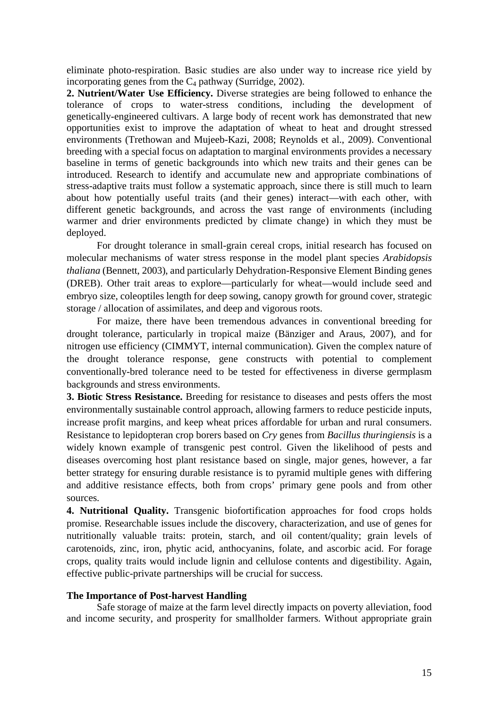eliminate photo-respiration. Basic studies are also under way to increase rice yield by incorporating genes from the  $C_4$  pathway (Surridge, 2002).

**2. Nutrient/Water Use Efficiency.** Diverse strategies are being followed to enhance the tolerance of crops to water-stress conditions, including the development of genetically-engineered cultivars. A large body of recent work has demonstrated that new opportunities exist to improve the adaptation of wheat to heat and drought stressed environments (Trethowan and Mujeeb-Kazi, 2008; Reynolds et al., 2009). Conventional breeding with a special focus on adaptation to marginal environments provides a necessary baseline in terms of genetic backgrounds into which new traits and their genes can be introduced. Research to identify and accumulate new and appropriate combinations of stress-adaptive traits must follow a systematic approach, since there is still much to learn about how potentially useful traits (and their genes) interact—with each other, with different genetic backgrounds, and across the vast range of environments (including warmer and drier environments predicted by climate change) in which they must be deployed.

For drought tolerance in small-grain cereal crops, initial research has focused on molecular mechanisms of water stress response in the model plant species *Arabidopsis thaliana* (Bennett, 2003), and particularly Dehydration-Responsive Element Binding genes (DREB). Other trait areas to explore—particularly for wheat—would include seed and embryo size, coleoptiles length for deep sowing, canopy growth for ground cover, strategic storage / allocation of assimilates, and deep and vigorous roots.

For maize, there have been tremendous advances in conventional breeding for drought tolerance, particularly in tropical maize (Bänziger and Araus, 2007), and for nitrogen use efficiency (CIMMYT, internal communication). Given the complex nature of the drought tolerance response, gene constructs with potential to complement conventionally-bred tolerance need to be tested for effectiveness in diverse germplasm backgrounds and stress environments.

**3. Biotic Stress Resistance.** Breeding for resistance to diseases and pests offers the most environmentally sustainable control approach, allowing farmers to reduce pesticide inputs, increase profit margins, and keep wheat prices affordable for urban and rural consumers. Resistance to lepidopteran crop borers based on *Cry* genes from *Bacillus thuringiensis* is a widely known example of transgenic pest control. Given the likelihood of pests and diseases overcoming host plant resistance based on single, major genes, however, a far better strategy for ensuring durable resistance is to pyramid multiple genes with differing and additive resistance effects, both from crops' primary gene pools and from other sources.

**4. Nutritional Quality.** Transgenic biofortification approaches for food crops holds promise. Researchable issues include the discovery, characterization, and use of genes for nutritionally valuable traits: protein, starch, and oil content/quality; grain levels of carotenoids, zinc, iron, phytic acid, anthocyanins, folate, and ascorbic acid. For forage crops, quality traits would include lignin and cellulose contents and digestibility. Again, effective public-private partnerships will be crucial for success.

#### **The Importance of Post-harvest Handling**

Safe storage of maize at the farm level directly impacts on poverty alleviation, food and income security, and prosperity for smallholder farmers. Without appropriate grain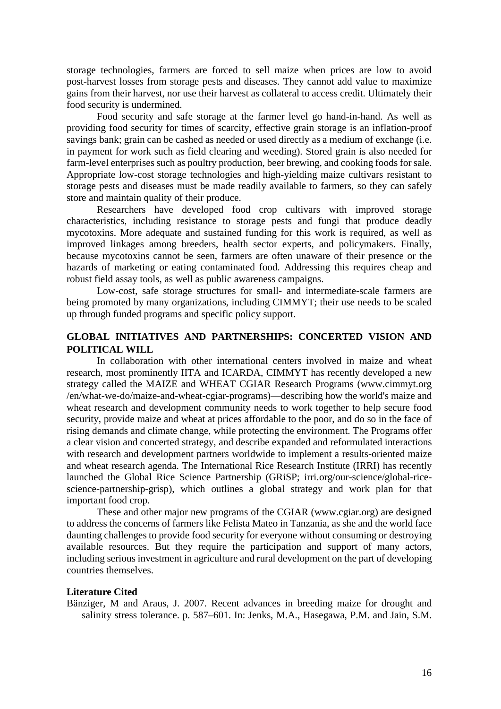storage technologies, farmers are forced to sell maize when prices are low to avoid post-harvest losses from storage pests and diseases. They cannot add value to maximize gains from their harvest, nor use their harvest as collateral to access credit. Ultimately their food security is undermined.

Food security and safe storage at the farmer level go hand-in-hand. As well as providing food security for times of scarcity, effective grain storage is an inflation-proof savings bank; grain can be cashed as needed or used directly as a medium of exchange (i.e. in payment for work such as field clearing and weeding). Stored grain is also needed for farm-level enterprises such as poultry production, beer brewing, and cooking foods for sale. Appropriate low-cost storage technologies and high-yielding maize cultivars resistant to storage pests and diseases must be made readily available to farmers, so they can safely store and maintain quality of their produce.

Researchers have developed food crop cultivars with improved storage characteristics, including resistance to storage pests and fungi that produce deadly mycotoxins. More adequate and sustained funding for this work is required, as well as improved linkages among breeders, health sector experts, and policymakers. Finally, because mycotoxins cannot be seen, farmers are often unaware of their presence or the hazards of marketing or eating contaminated food. Addressing this requires cheap and robust field assay tools, as well as public awareness campaigns.

Low-cost, safe storage structures for small- and intermediate-scale farmers are being promoted by many organizations, including CIMMYT; their use needs to be scaled up through funded programs and specific policy support.

# **GLOBAL INITIATIVES AND PARTNERSHIPS: CONCERTED VISION AND POLITICAL WILL**

In collaboration with other international centers involved in maize and wheat research, most prominently IITA and ICARDA, CIMMYT has recently developed a new strategy called the MAIZE and WHEAT CGIAR Research Programs (www.cimmyt.org /en/what-we-do/maize-and-wheat-cgiar-programs)—describing how the world's maize and wheat research and development community needs to work together to help secure food security, provide maize and wheat at prices affordable to the poor, and do so in the face of rising demands and climate change, while protecting the environment. The Programs offer a clear vision and concerted strategy, and describe expanded and reformulated interactions with research and development partners worldwide to implement a results-oriented maize and wheat research agenda. The International Rice Research Institute (IRRI) has recently launched the Global Rice Science Partnership (GRiSP; irri.org/our-science/global-ricescience-partnership-grisp), which outlines a global strategy and work plan for that important food crop.

These and other major new programs of the CGIAR (www.cgiar.org) are designed to address the concerns of farmers like Felista Mateo in Tanzania, as she and the world face daunting challenges to provide food security for everyone without consuming or destroying available resources. But they require the participation and support of many actors, including serious investment in agriculture and rural development on the part of developing countries themselves.

#### **Literature Cited**

Bänziger, M and Araus, J. 2007. Recent advances in breeding maize for drought and salinity stress tolerance. p. 587–601. In: Jenks, M.A., Hasegawa, P.M. and Jain, S.M.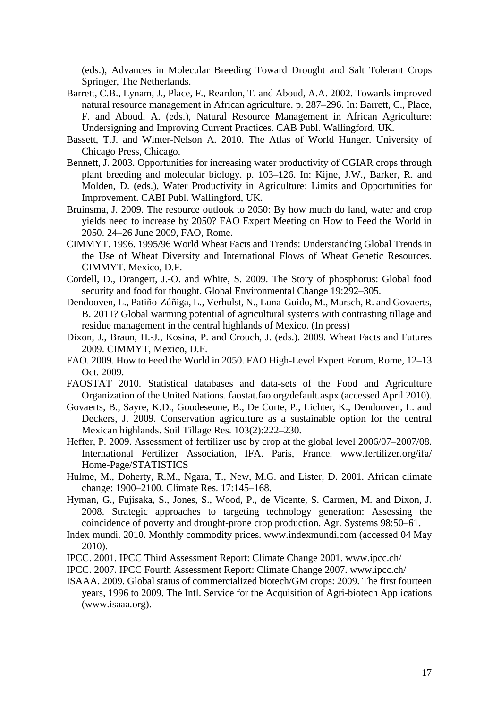(eds.), Advances in Molecular Breeding Toward Drought and Salt Tolerant Crops Springer, The Netherlands.

- Barrett, C.B., Lynam, J., Place, F., Reardon, T. and Aboud, A.A. 2002. Towards improved natural resource management in African agriculture. p. 287–296. In: Barrett, C., Place, F. and Aboud, A. (eds.), Natural Resource Management in African Agriculture: Undersigning and Improving Current Practices. CAB Publ. Wallingford, UK.
- Bassett, T.J. and Winter-Nelson A. 2010. The Atlas of World Hunger. University of Chicago Press, Chicago.
- Bennett, J. 2003. Opportunities for increasing water productivity of CGIAR crops through plant breeding and molecular biology. p. 103–126. In: Kijne, J.W., Barker, R. and Molden, D. (eds.), Water Productivity in Agriculture: Limits and Opportunities for Improvement. CABI Publ. Wallingford, UK.
- Bruinsma, J. 2009. The resource outlook to 2050: By how much do land, water and crop yields need to increase by 2050? FAO Expert Meeting on How to Feed the World in 2050. 24–26 June 2009, FAO, Rome.
- CIMMYT. 1996. 1995/96 World Wheat Facts and Trends: Understanding Global Trends in the Use of Wheat Diversity and International Flows of Wheat Genetic Resources. CIMMYT. Mexico, D.F.
- Cordell, D., Drangert, J.-O. and White, S. 2009. The Story of phosphorus: Global food security and food for thought. Global Environmental Change 19:292–305.
- Dendooven, L., Patiño-Zúñiga, L., Verhulst, N., Luna-Guido, M., Marsch, R. and Govaerts, B. 2011? Global warming potential of agricultural systems with contrasting tillage and residue management in the central highlands of Mexico. (In press)
- Dixon, J., Braun, H.-J., Kosina, P. and Crouch, J. (eds.). 2009. Wheat Facts and Futures 2009. CIMMYT, Mexico, D.F.
- FAO. 2009. How to Feed the World in 2050. FAO High-Level Expert Forum, Rome, 12–13 Oct. 2009.
- FAOSTAT 2010. Statistical databases and data-sets of the Food and Agriculture Organization of the United Nations. faostat.fao.org/default.aspx (accessed April 2010).
- Govaerts, B., Sayre, K.D., Goudeseune, B., De Corte, P., Lichter, K., Dendooven, L. and Deckers, J. 2009. Conservation agriculture as a sustainable option for the central Mexican highlands. Soil Tillage Res. 103(2):222–230.
- Heffer, P. 2009. Assessment of fertilizer use by crop at the global level 2006/07–2007/08. International Fertilizer Association, IFA. Paris, France. www.fertilizer.org/ifa/ Home-Page/STATISTICS
- Hulme, M., Doherty, R.M., Ngara, T., New, M.G. and Lister, D. 2001. African climate change: 1900–2100. Climate Res. 17:145–168.
- Hyman, G., Fujisaka, S., Jones, S., Wood, P., de Vicente, S. Carmen, M. and Dixon, J. 2008. Strategic approaches to targeting technology generation: Assessing the coincidence of poverty and drought-prone crop production. Agr. Systems 98:50–61.
- Index mundi. 2010. Monthly commodity prices. www.indexmundi.com (accessed 04 May 2010).
- IPCC. 2001. IPCC Third Assessment Report: Climate Change 2001. www.ipcc.ch/
- IPCC. 2007. IPCC Fourth Assessment Report: Climate Change 2007. www.ipcc.ch/
- ISAAA. 2009. Global status of commercialized biotech/GM crops: 2009. The first fourteen years, 1996 to 2009. The Intl. Service for the Acquisition of Agri-biotech Applications [\(www.isaaa.org\)](http://www.isaaa.org/).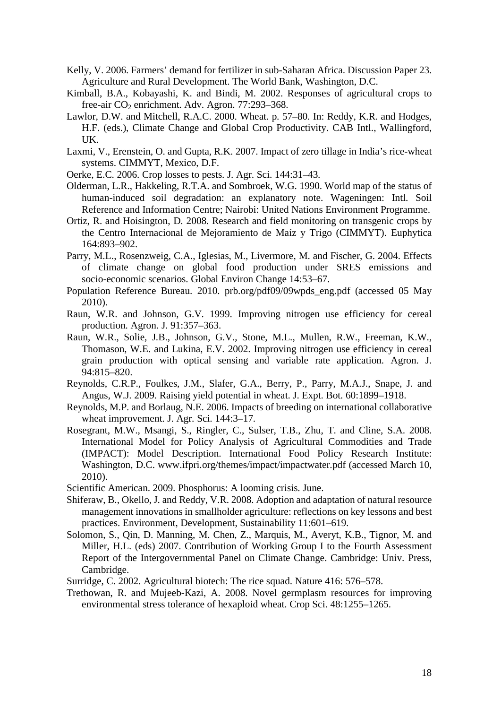- Kelly, V. 2006. Farmers' demand for fertilizer in sub-Saharan Africa. Discussion Paper 23. Agriculture and Rural Development. The World Bank, Washington, D.C.
- Kimball, B.A., Kobayashi, K. and Bindi, M. 2002. Responses of agricultural crops to free-air  $CO<sub>2</sub>$  enrichment. Adv. Agron. 77:293–368.
- Lawlor, D.W. and Mitchell, R.A.C. 2000. Wheat. p. 57–80. In: Reddy, K.R. and Hodges, H.F. (eds.), Climate Change and Global Crop Productivity. CAB Intl., Wallingford, UK.
- Laxmi, V., Erenstein, O. and Gupta, R.K. 2007. Impact of zero tillage in India's rice-wheat systems. CIMMYT, Mexico, D.F.
- Oerke, E.C. 2006. Crop losses to pests. J. Agr. Sci. 144:31–43.
- Olderman, L.R., Hakkeling, R.T.A. and Sombroek, W.G. 1990. World map of the status of human-induced soil degradation: an explanatory note. Wageningen: Intl. Soil Reference and Information Centre; Nairobi: United Nations Environment Programme.
- Ortiz, R. and Hoisington, D. 2008. Research and field monitoring on transgenic crops by the Centro Internacional de Mejoramiento de Maíz y Trigo (CIMMYT). Euphytica 164:893–902.
- Parry, M.L., Rosenzweig, C.A., Iglesias, M., Livermore, M. and Fischer, G. 2004. Effects of climate change on global food production under SRES emissions and socio-economic scenarios. Global Environ Change 14:53–67.
- Population Reference Bureau. 2010. prb.org/pdf09/09wpds\_eng.pdf (accessed 05 May 2010).
- Raun, W.R. and Johnson, G.V. 1999. Improving nitrogen use efficiency for cereal production. Agron. J. 91:357–363.
- Raun, W.R., Solie, J.B., Johnson, G.V., Stone, M.L., Mullen, R.W., Freeman, K.W., Thomason, W.E. and Lukina, E.V. 2002. Improving nitrogen use efficiency in cereal grain production with optical sensing and variable rate application. Agron. J. 94:815–820.
- Reynolds, C.R.P., Foulkes, J.M., Slafer, G.A., Berry, P., Parry, M.A.J., Snape, J. and Angus, W.J. 2009. Raising yield potential in wheat. J. Expt. Bot. 60:1899–1918.
- Reynolds, M.P. and Borlaug, N.E. 2006. Impacts of breeding on international collaborative wheat improvement. J. Agr. Sci. 144:3–17.
- Rosegrant, M.W., Msangi, S., Ringler, C., Sulser, T.B., Zhu, T. and Cline, S.A. 2008. International Model for Policy Analysis of Agricultural Commodities and Trade (IMPACT): Model Description. International Food Policy Research Institute: Washington, D.C. www.ifpri.org/themes/impact/impactwater.pdf (accessed March 10, 2010).
- Scientific American. 2009. Phosphorus: A looming crisis. June.
- Shiferaw, B., Okello, J. and Reddy, V.R. 2008. Adoption and adaptation of natural resource management innovations in smallholder agriculture: reflections on key lessons and best practices. Environment, Development, Sustainability 11:601–619.
- Solomon, S., Qin, D. Manning, M. Chen, Z., Marquis, M., Averyt, K.B., Tignor, M. and Miller, H.L. (eds) 2007. Contribution of Working Group I to the Fourth Assessment Report of the Intergovernmental Panel on Climate Change. Cambridge: Univ. Press, Cambridge.
- Surridge, C. 2002. Agricultural biotech: The rice squad. Nature 416: 576–578.
- Trethowan, R. and Mujeeb-Kazi, A. 2008. Novel germplasm resources for improving environmental stress tolerance of hexaploid wheat. Crop Sci. 48:1255–1265.